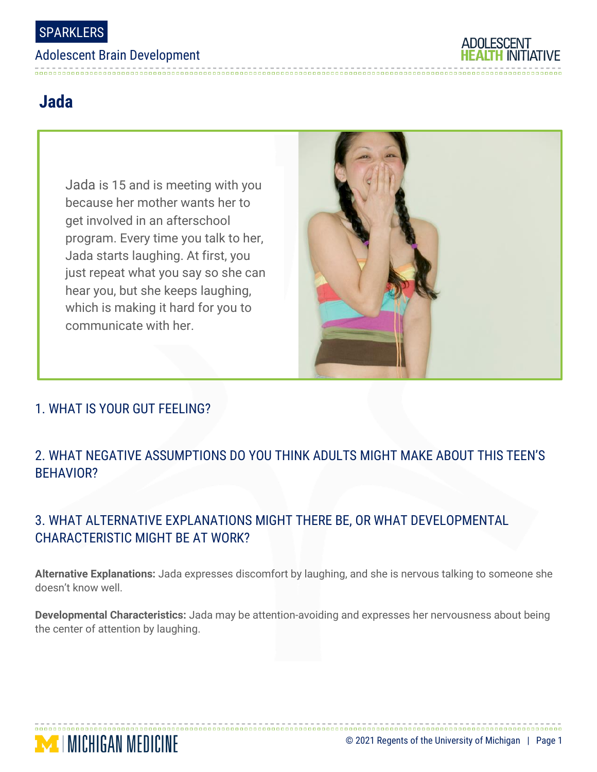#### Adolescent Brain Development



# **Jada**

Jada is 15 and is meeting with you because her mother wants her to get involved in an afterschool program. Every time you talk to her, Jada starts laughing. At first, you just repeat what you say so she can hear you, but she keeps laughing, which is making it hard for you to communicate with her.



### 1. WHAT IS YOUR GUT FEELING?

**MENGAN MEDICINE** 

## 2. WHAT NEGATIVE ASSUMPTIONS DO YOU THINK ADULTS MIGHT MAKE ABOUT THIS TEEN'S BEHAVIOR?

## 3. WHAT ALTERNATIVE EXPLANATIONS MIGHT THERE BE, OR WHAT DEVELOPMENTAL CHARACTERISTIC MIGHT BE AT WORK?

**Alternative Explanations:** Jada expresses discomfort by laughing, and she is nervous talking to someone she doesn't know well.

**Developmental Characteristics:** Jada may be attention-avoiding and expresses her nervousness about being the center of attention by laughing.